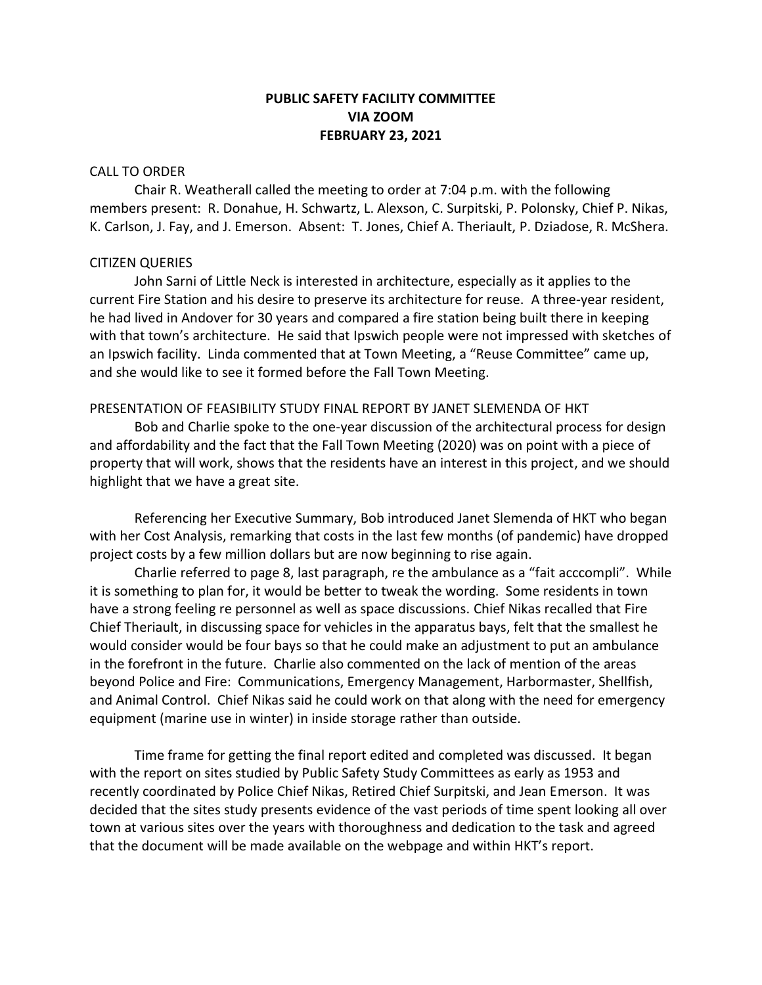# **PUBLIC SAFETY FACILITY COMMITTEE VIA ZOOM FEBRUARY 23, 2021**

#### CALL TO ORDER

Chair R. Weatherall called the meeting to order at 7:04 p.m. with the following members present: R. Donahue, H. Schwartz, L. Alexson, C. Surpitski, P. Polonsky, Chief P. Nikas, K. Carlson, J. Fay, and J. Emerson. Absent: T. Jones, Chief A. Theriault, P. Dziadose, R. McShera.

#### CITIZEN QUERIES

John Sarni of Little Neck is interested in architecture, especially as it applies to the current Fire Station and his desire to preserve its architecture for reuse. A three-year resident, he had lived in Andover for 30 years and compared a fire station being built there in keeping with that town's architecture. He said that Ipswich people were not impressed with sketches of an Ipswich facility. Linda commented that at Town Meeting, a "Reuse Committee" came up, and she would like to see it formed before the Fall Town Meeting.

#### PRESENTATION OF FEASIBILITY STUDY FINAL REPORT BY JANET SLEMENDA OF HKT

Bob and Charlie spoke to the one-year discussion of the architectural process for design and affordability and the fact that the Fall Town Meeting (2020) was on point with a piece of property that will work, shows that the residents have an interest in this project, and we should highlight that we have a great site.

Referencing her Executive Summary, Bob introduced Janet Slemenda of HKT who began with her Cost Analysis, remarking that costs in the last few months (of pandemic) have dropped project costs by a few million dollars but are now beginning to rise again.

Charlie referred to page 8, last paragraph, re the ambulance as a "fait acccompli". While it is something to plan for, it would be better to tweak the wording. Some residents in town have a strong feeling re personnel as well as space discussions. Chief Nikas recalled that Fire Chief Theriault, in discussing space for vehicles in the apparatus bays, felt that the smallest he would consider would be four bays so that he could make an adjustment to put an ambulance in the forefront in the future. Charlie also commented on the lack of mention of the areas beyond Police and Fire: Communications, Emergency Management, Harbormaster, Shellfish, and Animal Control. Chief Nikas said he could work on that along with the need for emergency equipment (marine use in winter) in inside storage rather than outside.

Time frame for getting the final report edited and completed was discussed. It began with the report on sites studied by Public Safety Study Committees as early as 1953 and recently coordinated by Police Chief Nikas, Retired Chief Surpitski, and Jean Emerson. It was decided that the sites study presents evidence of the vast periods of time spent looking all over town at various sites over the years with thoroughness and dedication to the task and agreed that the document will be made available on the webpage and within HKT's report.